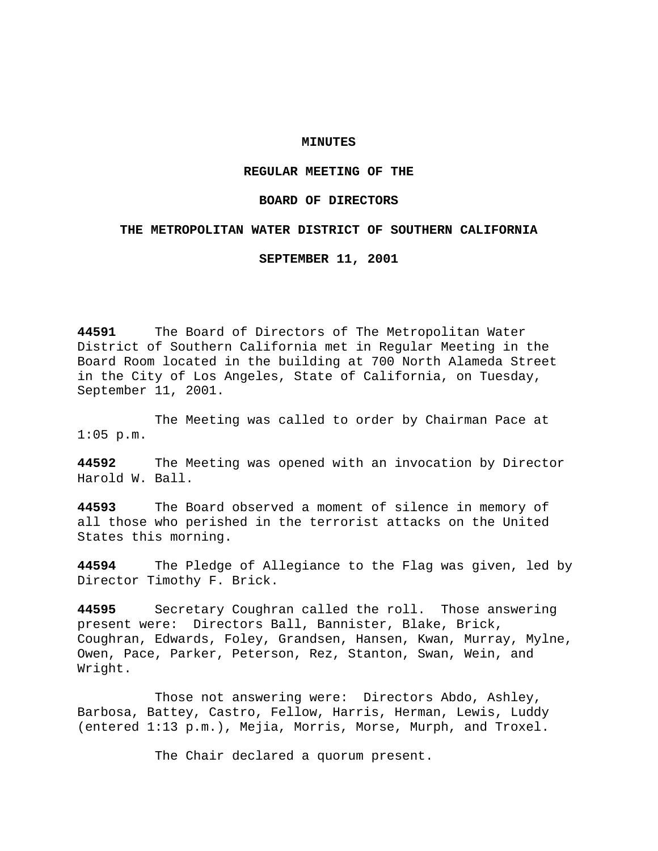## **MINUTES**

## **REGULAR MEETING OF THE**

### **BOARD OF DIRECTORS**

### **THE METROPOLITAN WATER DISTRICT OF SOUTHERN CALIFORNIA**

**SEPTEMBER 11, 2001**

**44591** The Board of Directors of The Metropolitan Water District of Southern California met in Regular Meeting in the Board Room located in the building at 700 North Alameda Street in the City of Los Angeles, State of California, on Tuesday, September 11, 2001.

The Meeting was called to order by Chairman Pace at 1:05 p.m.

**44592** The Meeting was opened with an invocation by Director Harold W. Ball.

**44593** The Board observed a moment of silence in memory of all those who perished in the terrorist attacks on the United States this morning.

**44594** The Pledge of Allegiance to the Flag was given, led by Director Timothy F. Brick.

**44595** Secretary Coughran called the roll. Those answering present were: Directors Ball, Bannister, Blake, Brick, Coughran, Edwards, Foley, Grandsen, Hansen, Kwan, Murray, Mylne, Owen, Pace, Parker, Peterson, Rez, Stanton, Swan, Wein, and Wright.

Those not answering were: Directors Abdo, Ashley, Barbosa, Battey, Castro, Fellow, Harris, Herman, Lewis, Luddy (entered 1:13 p.m.), Mejia, Morris, Morse, Murph, and Troxel.

The Chair declared a quorum present.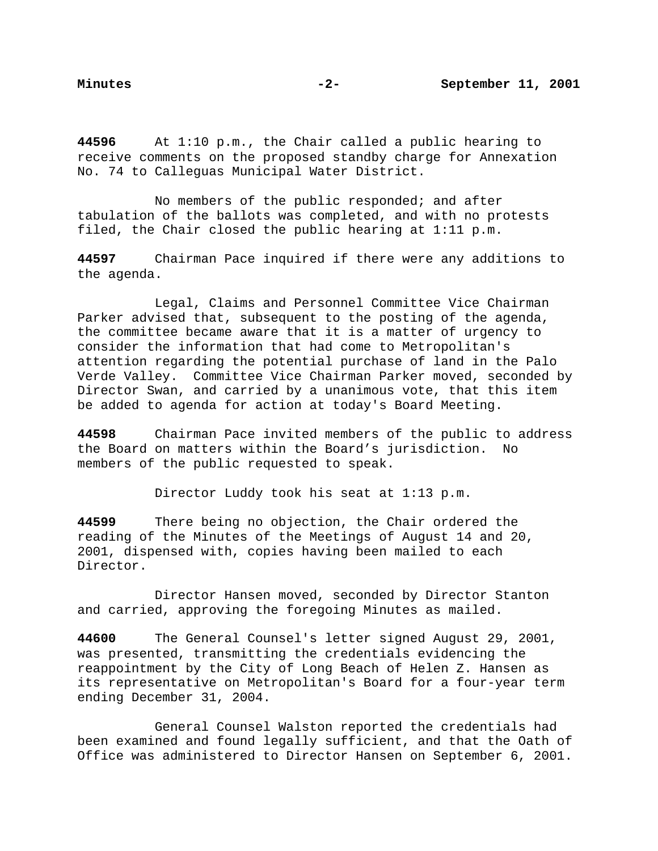**44596** At 1:10 p.m., the Chair called a public hearing to receive comments on the proposed standby charge for Annexation No. 74 to Calleguas Municipal Water District.

No members of the public responded; and after tabulation of the ballots was completed, and with no protests filed, the Chair closed the public hearing at 1:11 p.m.

**44597** Chairman Pace inquired if there were any additions to the agenda.

Legal, Claims and Personnel Committee Vice Chairman Parker advised that, subsequent to the posting of the agenda, the committee became aware that it is a matter of urgency to consider the information that had come to Metropolitan's attention regarding the potential purchase of land in the Palo Verde Valley. Committee Vice Chairman Parker moved, seconded by Director Swan, and carried by a unanimous vote, that this item be added to agenda for action at today's Board Meeting.

**44598** Chairman Pace invited members of the public to address the Board on matters within the Board's jurisdiction. No members of the public requested to speak.

Director Luddy took his seat at 1:13 p.m.

**44599** There being no objection, the Chair ordered the reading of the Minutes of the Meetings of August 14 and 20, 2001, dispensed with, copies having been mailed to each Director.

Director Hansen moved, seconded by Director Stanton and carried, approving the foregoing Minutes as mailed.

**44600** The General Counsel's letter signed August 29, 2001, was presented, transmitting the credentials evidencing the reappointment by the City of Long Beach of Helen Z. Hansen as its representative on Metropolitan's Board for a four-year term ending December 31, 2004.

General Counsel Walston reported the credentials had been examined and found legally sufficient, and that the Oath of Office was administered to Director Hansen on September 6, 2001.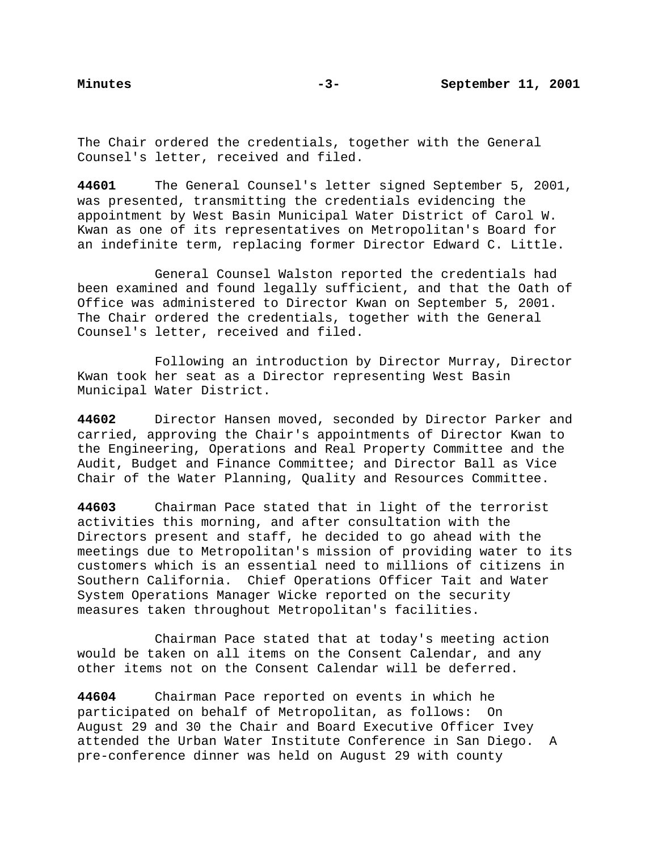The Chair ordered the credentials, together with the General Counsel's letter, received and filed.

**44601** The General Counsel's letter signed September 5, 2001, was presented, transmitting the credentials evidencing the appointment by West Basin Municipal Water District of Carol W. Kwan as one of its representatives on Metropolitan's Board for an indefinite term, replacing former Director Edward C. Little.

General Counsel Walston reported the credentials had been examined and found legally sufficient, and that the Oath of Office was administered to Director Kwan on September 5, 2001. The Chair ordered the credentials, together with the General Counsel's letter, received and filed.

Following an introduction by Director Murray, Director Kwan took her seat as a Director representing West Basin Municipal Water District.

**44602** Director Hansen moved, seconded by Director Parker and carried, approving the Chair's appointments of Director Kwan to the Engineering, Operations and Real Property Committee and the Audit, Budget and Finance Committee; and Director Ball as Vice Chair of the Water Planning, Quality and Resources Committee.

**44603** Chairman Pace stated that in light of the terrorist activities this morning, and after consultation with the Directors present and staff, he decided to go ahead with the meetings due to Metropolitan's mission of providing water to its customers which is an essential need to millions of citizens in Southern California. Chief Operations Officer Tait and Water System Operations Manager Wicke reported on the security measures taken throughout Metropolitan's facilities.

Chairman Pace stated that at today's meeting action would be taken on all items on the Consent Calendar, and any other items not on the Consent Calendar will be deferred.

**44604** Chairman Pace reported on events in which he participated on behalf of Metropolitan, as follows: On August 29 and 30 the Chair and Board Executive Officer Ivey attended the Urban Water Institute Conference in San Diego. A pre-conference dinner was held on August 29 with county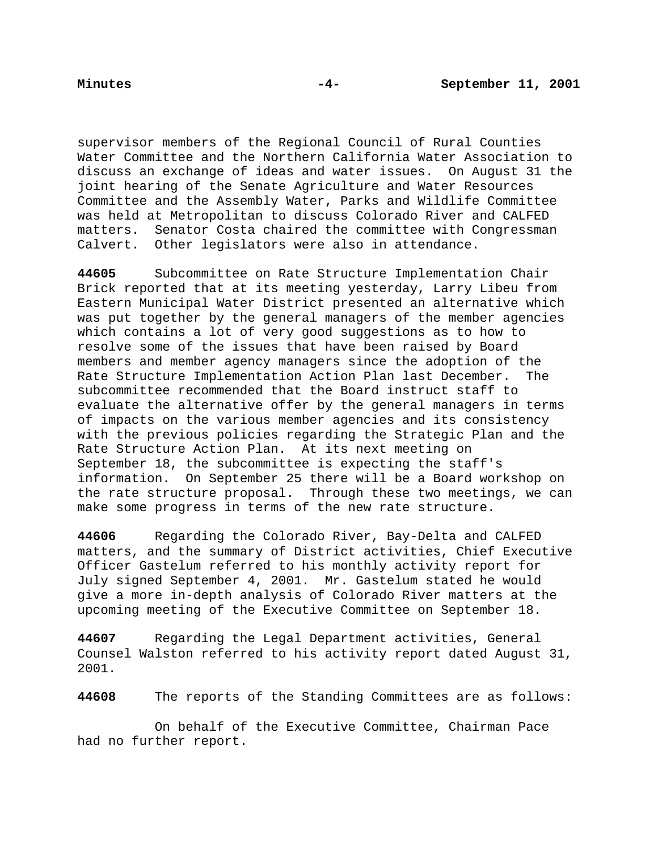supervisor members of the Regional Council of Rural Counties Water Committee and the Northern California Water Association to discuss an exchange of ideas and water issues. On August 31 the joint hearing of the Senate Agriculture and Water Resources Committee and the Assembly Water, Parks and Wildlife Committee was held at Metropolitan to discuss Colorado River and CALFED matters. Senator Costa chaired the committee with Congressman Calvert. Other legislators were also in attendance.

**44605** Subcommittee on Rate Structure Implementation Chair Brick reported that at its meeting yesterday, Larry Libeu from Eastern Municipal Water District presented an alternative which was put together by the general managers of the member agencies which contains a lot of very good suggestions as to how to resolve some of the issues that have been raised by Board members and member agency managers since the adoption of the Rate Structure Implementation Action Plan last December. The subcommittee recommended that the Board instruct staff to evaluate the alternative offer by the general managers in terms of impacts on the various member agencies and its consistency with the previous policies regarding the Strategic Plan and the Rate Structure Action Plan. At its next meeting on September 18, the subcommittee is expecting the staff's information. On September 25 there will be a Board workshop on the rate structure proposal. Through these two meetings, we can make some progress in terms of the new rate structure.

**44606** Regarding the Colorado River, Bay-Delta and CALFED matters, and the summary of District activities, Chief Executive Officer Gastelum referred to his monthly activity report for July signed September 4, 2001. Mr. Gastelum stated he would give a more in-depth analysis of Colorado River matters at the upcoming meeting of the Executive Committee on September 18.

**44607** Regarding the Legal Department activities, General Counsel Walston referred to his activity report dated August 31, 2001.

**44608** The reports of the Standing Committees are as follows:

On behalf of the Executive Committee, Chairman Pace had no further report.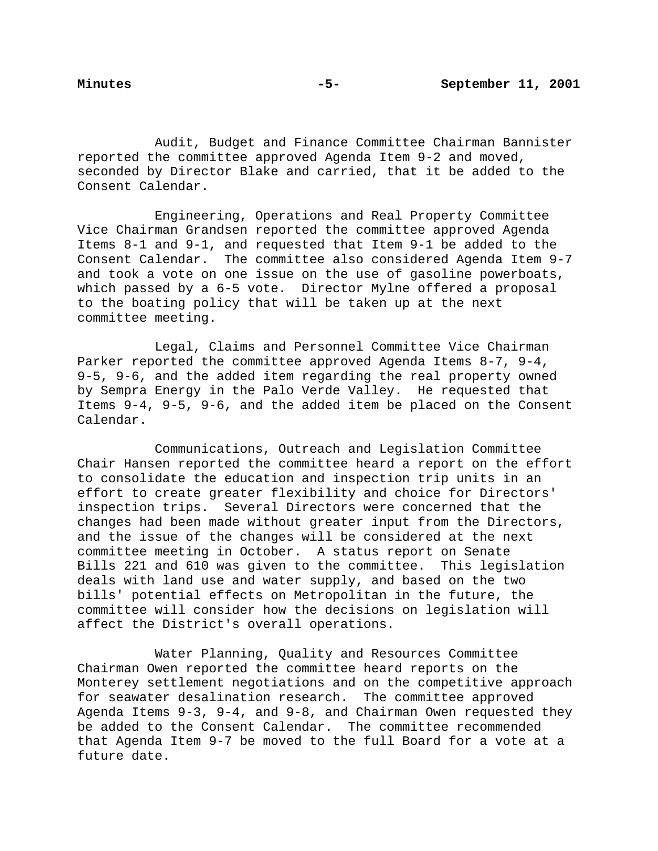Audit, Budget and Finance Committee Chairman Bannister reported the committee approved Agenda Item 9-2 and moved, seconded by Director Blake and carried, that it be added to the Consent Calendar.

Engineering, Operations and Real Property Committee Vice Chairman Grandsen reported the committee approved Agenda Items 8-1 and 9-1, and requested that Item 9-1 be added to the Consent Calendar. The committee also considered Agenda Item 9-7 and took a vote on one issue on the use of gasoline powerboats, which passed by a 6-5 vote. Director Mylne offered a proposal to the boating policy that will be taken up at the next committee meeting.

Legal, Claims and Personnel Committee Vice Chairman Parker reported the committee approved Agenda Items 8-7, 9-4, 9-5, 9-6, and the added item regarding the real property owned by Sempra Energy in the Palo Verde Valley. He requested that Items 9-4, 9-5, 9-6, and the added item be placed on the Consent Calendar.

Communications, Outreach and Legislation Committee Chair Hansen reported the committee heard a report on the effort to consolidate the education and inspection trip units in an effort to create greater flexibility and choice for Directors' inspection trips. Several Directors were concerned that the changes had been made without greater input from the Directors, and the issue of the changes will be considered at the next committee meeting in October. A status report on Senate Bills 221 and 610 was given to the committee. This legislation deals with land use and water supply, and based on the two bills' potential effects on Metropolitan in the future, the committee will consider how the decisions on legislation will affect the District's overall operations.

Water Planning, Quality and Resources Committee Chairman Owen reported the committee heard reports on the Monterey settlement negotiations and on the competitive approach for seawater desalination research. The committee approved Agenda Items 9-3, 9-4, and 9-8, and Chairman Owen requested they be added to the Consent Calendar. The committee recommended that Agenda Item 9-7 be moved to the full Board for a vote at a future date.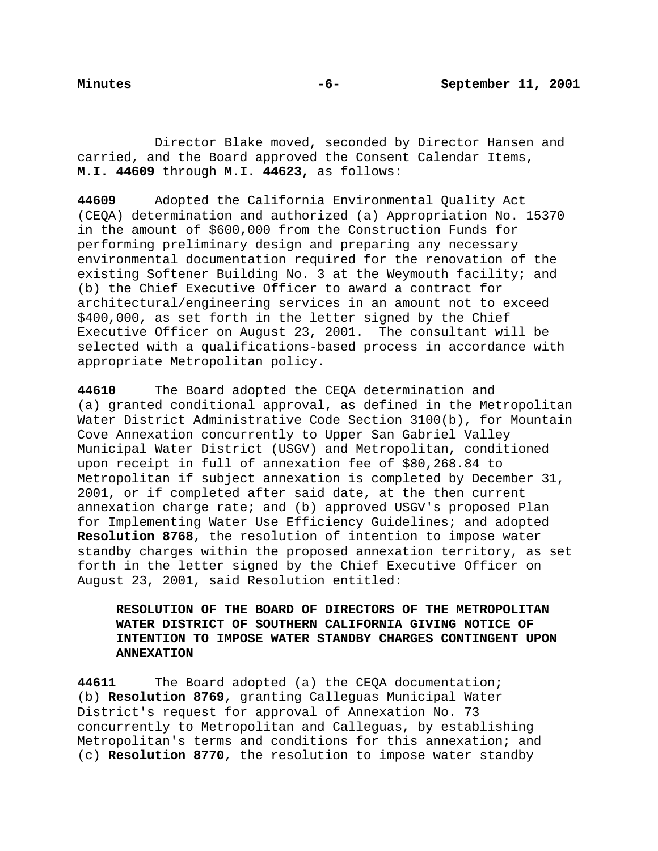Director Blake moved, seconded by Director Hansen and carried, and the Board approved the Consent Calendar Items, **M.I. 44609** through **M.I. 44623,** as follows:

**44609** Adopted the California Environmental Quality Act (CEQA) determination and authorized (a) Appropriation No. 15370 in the amount of \$600,000 from the Construction Funds for performing preliminary design and preparing any necessary environmental documentation required for the renovation of the existing Softener Building No. 3 at the Weymouth facility; and (b) the Chief Executive Officer to award a contract for architectural/engineering services in an amount not to exceed \$400,000, as set forth in the letter signed by the Chief Executive Officer on August 23, 2001. The consultant will be selected with a qualifications-based process in accordance with appropriate Metropolitan policy.

**44610** The Board adopted the CEQA determination and (a) granted conditional approval, as defined in the Metropolitan Water District Administrative Code Section 3100(b), for Mountain Cove Annexation concurrently to Upper San Gabriel Valley Municipal Water District (USGV) and Metropolitan, conditioned upon receipt in full of annexation fee of \$80,268.84 to Metropolitan if subject annexation is completed by December 31, 2001, or if completed after said date, at the then current annexation charge rate; and (b) approved USGV's proposed Plan for Implementing Water Use Efficiency Guidelines; and adopted **Resolution 8768**, the resolution of intention to impose water standby charges within the proposed annexation territory, as set forth in the letter signed by the Chief Executive Officer on August 23, 2001, said Resolution entitled:

**RESOLUTION OF THE BOARD OF DIRECTORS OF THE METROPOLITAN WATER DISTRICT OF SOUTHERN CALIFORNIA GIVING NOTICE OF INTENTION TO IMPOSE WATER STANDBY CHARGES CONTINGENT UPON ANNEXATION**

**44611** The Board adopted (a) the CEQA documentation; (b) **Resolution 8769**, granting Calleguas Municipal Water District's request for approval of Annexation No. 73 concurrently to Metropolitan and Calleguas, by establishing Metropolitan's terms and conditions for this annexation; and (c) **Resolution 8770**, the resolution to impose water standby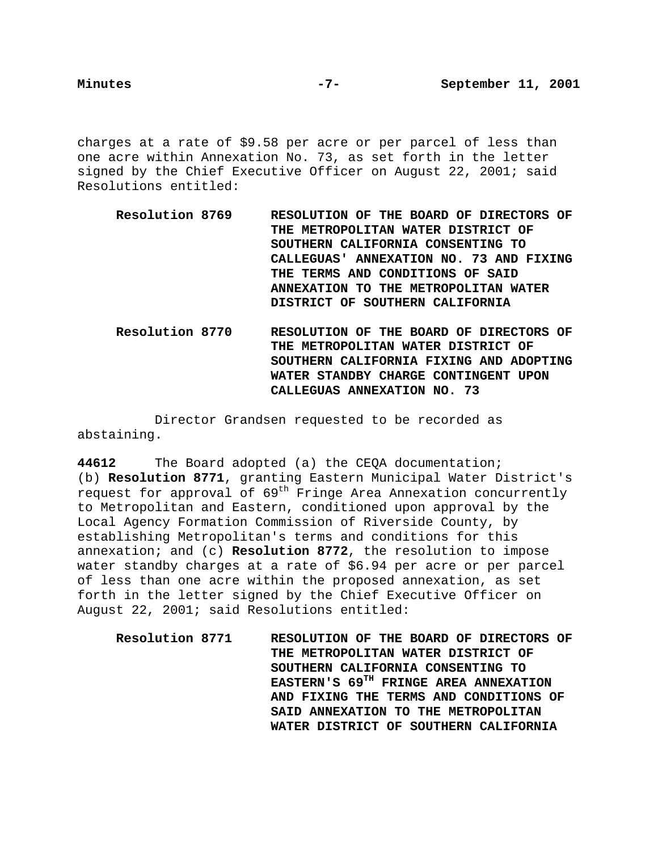charges at a rate of \$9.58 per acre or per parcel of less than one acre within Annexation No. 73, as set forth in the letter signed by the Chief Executive Officer on August 22, 2001; said Resolutions entitled:

- **Resolution 8769 RESOLUTION OF THE BOARD OF DIRECTORS OF THE METROPOLITAN WATER DISTRICT OF SOUTHERN CALIFORNIA CONSENTING TO CALLEGUAS' ANNEXATION NO. 73 AND FIXING THE TERMS AND CONDITIONS OF SAID ANNEXATION TO THE METROPOLITAN WATER DISTRICT OF SOUTHERN CALIFORNIA**
- **Resolution 8770 RESOLUTION OF THE BOARD OF DIRECTORS OF THE METROPOLITAN WATER DISTRICT OF SOUTHERN CALIFORNIA FIXING AND ADOPTING WATER STANDBY CHARGE CONTINGENT UPON CALLEGUAS ANNEXATION NO. 73**

Director Grandsen requested to be recorded as abstaining.

**44612** The Board adopted (a) the CEQA documentation; (b) **Resolution 8771**, granting Eastern Municipal Water District's request for approval of  $69<sup>th</sup>$  Fringe Area Annexation concurrently to Metropolitan and Eastern, conditioned upon approval by the Local Agency Formation Commission of Riverside County, by establishing Metropolitan's terms and conditions for this annexation; and (c) **Resolution 8772**, the resolution to impose water standby charges at a rate of \$6.94 per acre or per parcel of less than one acre within the proposed annexation, as set forth in the letter signed by the Chief Executive Officer on August 22, 2001; said Resolutions entitled:

**Resolution 8771 RESOLUTION OF THE BOARD OF DIRECTORS OF THE METROPOLITAN WATER DISTRICT OF SOUTHERN CALIFORNIA CONSENTING TO EASTERN'S 69TH FRINGE AREA ANNEXATION AND FIXING THE TERMS AND CONDITIONS OF SAID ANNEXATION TO THE METROPOLITAN WATER DISTRICT OF SOUTHERN CALIFORNIA**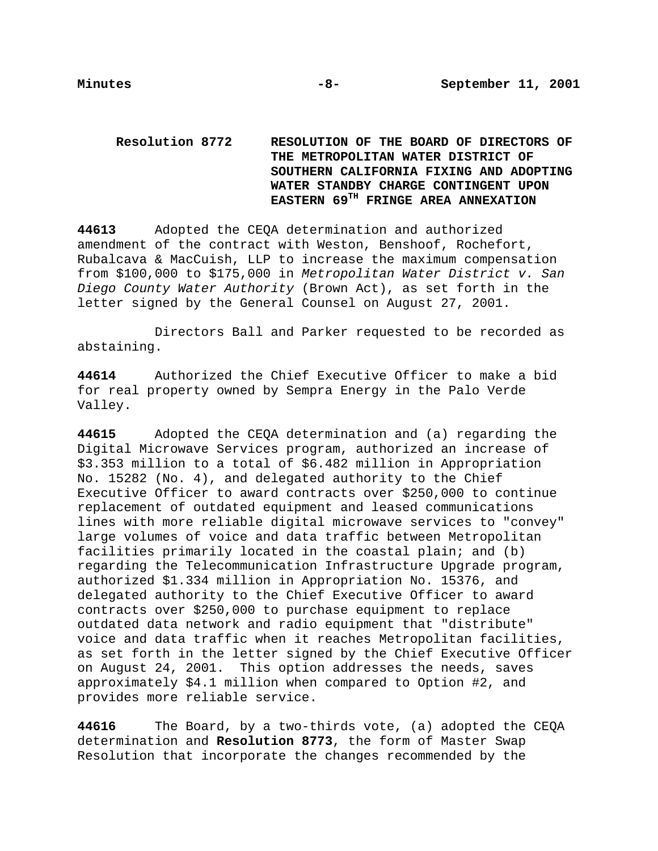# **Resolution 8772 RESOLUTION OF THE BOARD OF DIRECTORS OF THE METROPOLITAN WATER DISTRICT OF SOUTHERN CALIFORNIA FIXING AND ADOPTING WATER STANDBY CHARGE CONTINGENT UPON EASTERN 69TH FRINGE AREA ANNEXATION**

**44613** Adopted the CEQA determination and authorized amendment of the contract with Weston, Benshoof, Rochefort, Rubalcava & MacCuish, LLP to increase the maximum compensation from \$100,000 to \$175,000 in Metropolitan Water District v. San Diego County Water Authority (Brown Act), as set forth in the letter signed by the General Counsel on August 27, 2001.

Directors Ball and Parker requested to be recorded as abstaining.

**44614** Authorized the Chief Executive Officer to make a bid for real property owned by Sempra Energy in the Palo Verde Valley.

**44615** Adopted the CEQA determination and (a) regarding the Digital Microwave Services program, authorized an increase of \$3.353 million to a total of \$6.482 million in Appropriation No. 15282 (No. 4), and delegated authority to the Chief Executive Officer to award contracts over \$250,000 to continue replacement of outdated equipment and leased communications lines with more reliable digital microwave services to "convey" large volumes of voice and data traffic between Metropolitan facilities primarily located in the coastal plain; and (b) regarding the Telecommunication Infrastructure Upgrade program, authorized \$1.334 million in Appropriation No. 15376, and delegated authority to the Chief Executive Officer to award contracts over \$250,000 to purchase equipment to replace outdated data network and radio equipment that "distribute" voice and data traffic when it reaches Metropolitan facilities, as set forth in the letter signed by the Chief Executive Officer on August 24, 2001. This option addresses the needs, saves approximately \$4.1 million when compared to Option #2, and provides more reliable service.

**44616** The Board, by a two-thirds vote, (a) adopted the CEQA determination and **Resolution 8773**, the form of Master Swap Resolution that incorporate the changes recommended by the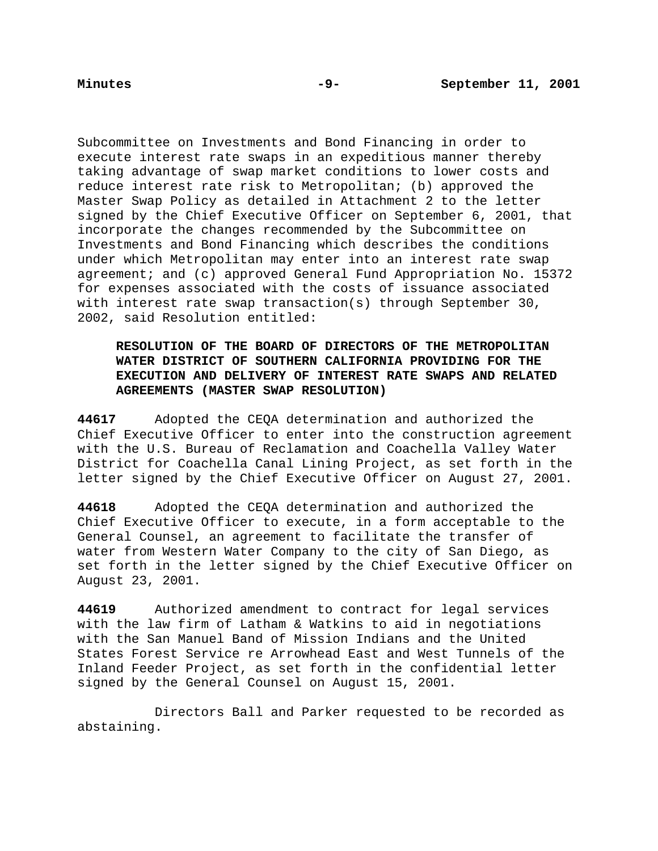Subcommittee on Investments and Bond Financing in order to execute interest rate swaps in an expeditious manner thereby taking advantage of swap market conditions to lower costs and reduce interest rate risk to Metropolitan; (b) approved the Master Swap Policy as detailed in Attachment 2 to the letter signed by the Chief Executive Officer on September 6, 2001, that incorporate the changes recommended by the Subcommittee on Investments and Bond Financing which describes the conditions under which Metropolitan may enter into an interest rate swap agreement; and (c) approved General Fund Appropriation No. 15372 for expenses associated with the costs of issuance associated with interest rate swap transaction(s) through September 30, 2002, said Resolution entitled:

## **RESOLUTION OF THE BOARD OF DIRECTORS OF THE METROPOLITAN WATER DISTRICT OF SOUTHERN CALIFORNIA PROVIDING FOR THE EXECUTION AND DELIVERY OF INTEREST RATE SWAPS AND RELATED AGREEMENTS (MASTER SWAP RESOLUTION)**

**44617** Adopted the CEQA determination and authorized the Chief Executive Officer to enter into the construction agreement with the U.S. Bureau of Reclamation and Coachella Valley Water District for Coachella Canal Lining Project, as set forth in the letter signed by the Chief Executive Officer on August 27, 2001.

**44618** Adopted the CEQA determination and authorized the Chief Executive Officer to execute, in a form acceptable to the General Counsel, an agreement to facilitate the transfer of water from Western Water Company to the city of San Diego, as set forth in the letter signed by the Chief Executive Officer on August 23, 2001.

**44619** Authorized amendment to contract for legal services with the law firm of Latham & Watkins to aid in negotiations with the San Manuel Band of Mission Indians and the United States Forest Service re Arrowhead East and West Tunnels of the Inland Feeder Project, as set forth in the confidential letter signed by the General Counsel on August 15, 2001.

Directors Ball and Parker requested to be recorded as abstaining.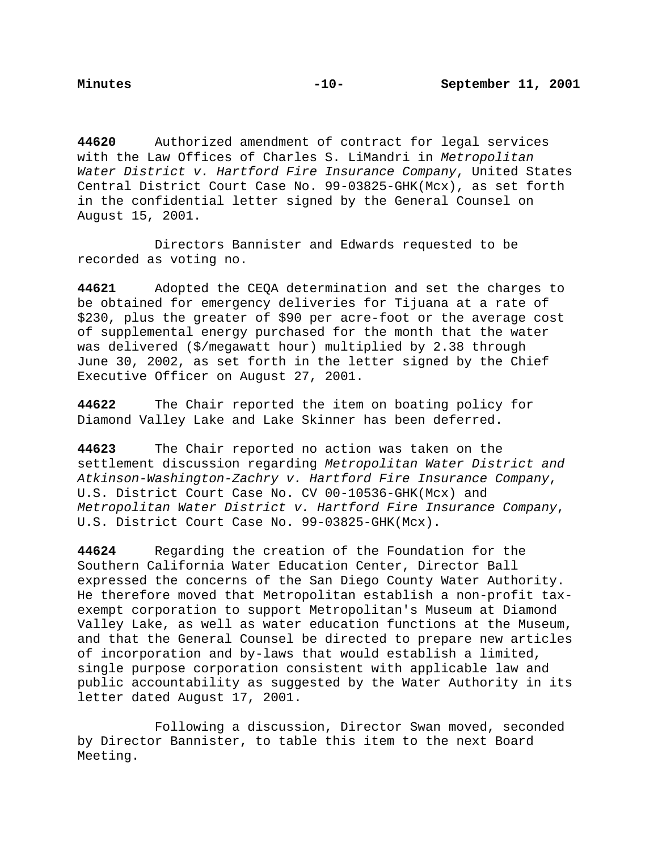**44620** Authorized amendment of contract for legal services with the Law Offices of Charles S. LiMandri in Metropolitan Water District v. Hartford Fire Insurance Company, United States Central District Court Case No. 99-03825-GHK(Mcx), as set forth in the confidential letter signed by the General Counsel on August 15, 2001.

Directors Bannister and Edwards requested to be recorded as voting no.

**44621** Adopted the CEQA determination and set the charges to be obtained for emergency deliveries for Tijuana at a rate of \$230, plus the greater of \$90 per acre-foot or the average cost of supplemental energy purchased for the month that the water was delivered (\$/megawatt hour) multiplied by 2.38 through June 30, 2002, as set forth in the letter signed by the Chief Executive Officer on August 27, 2001.

**44622** The Chair reported the item on boating policy for Diamond Valley Lake and Lake Skinner has been deferred.

**44623** The Chair reported no action was taken on the settlement discussion regarding Metropolitan Water District and Atkinson-Washington-Zachry v. Hartford Fire Insurance Company, U.S. District Court Case No. CV 00-10536-GHK(Mcx) and Metropolitan Water District v. Hartford Fire Insurance Company, U.S. District Court Case No. 99-03825-GHK(Mcx).

**44624** Regarding the creation of the Foundation for the Southern California Water Education Center, Director Ball expressed the concerns of the San Diego County Water Authority. He therefore moved that Metropolitan establish a non-profit taxexempt corporation to support Metropolitan's Museum at Diamond Valley Lake, as well as water education functions at the Museum, and that the General Counsel be directed to prepare new articles of incorporation and by-laws that would establish a limited, single purpose corporation consistent with applicable law and public accountability as suggested by the Water Authority in its letter dated August 17, 2001.

Following a discussion, Director Swan moved, seconded by Director Bannister, to table this item to the next Board Meeting.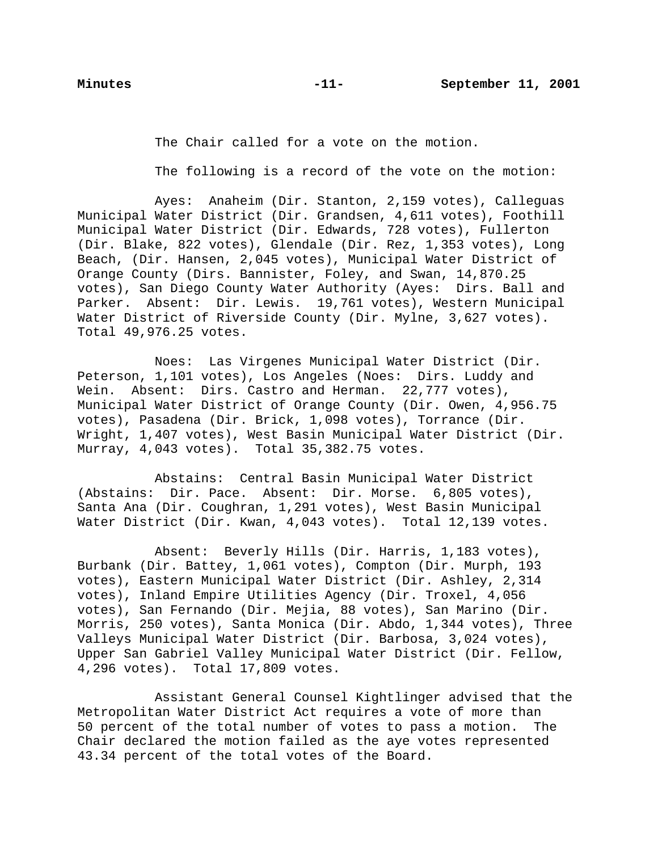The Chair called for a vote on the motion.

The following is a record of the vote on the motion:

Ayes: Anaheim (Dir. Stanton, 2,159 votes), Calleguas Municipal Water District (Dir. Grandsen, 4,611 votes), Foothill Municipal Water District (Dir. Edwards, 728 votes), Fullerton (Dir. Blake, 822 votes), Glendale (Dir. Rez, 1,353 votes), Long Beach, (Dir. Hansen, 2,045 votes), Municipal Water District of Orange County (Dirs. Bannister, Foley, and Swan, 14,870.25 votes), San Diego County Water Authority (Ayes: Dirs. Ball and Parker. Absent: Dir. Lewis. 19,761 votes), Western Municipal Water District of Riverside County (Dir. Mylne, 3,627 votes). Total 49,976.25 votes.

Noes: Las Virgenes Municipal Water District (Dir. Peterson, 1,101 votes), Los Angeles (Noes: Dirs. Luddy and Wein. Absent: Dirs. Castro and Herman. 22,777 votes), Municipal Water District of Orange County (Dir. Owen, 4,956.75 votes), Pasadena (Dir. Brick, 1,098 votes), Torrance (Dir. Wright, 1,407 votes), West Basin Municipal Water District (Dir. Murray, 4,043 votes). Total 35,382.75 votes.

Abstains: Central Basin Municipal Water District (Abstains: Dir. Pace. Absent: Dir. Morse. 6,805 votes), Santa Ana (Dir. Coughran, 1,291 votes), West Basin Municipal Water District (Dir. Kwan, 4,043 votes). Total 12,139 votes.

Absent: Beverly Hills (Dir. Harris, 1,183 votes), Burbank (Dir. Battey, 1,061 votes), Compton (Dir. Murph, 193 votes), Eastern Municipal Water District (Dir. Ashley, 2,314 votes), Inland Empire Utilities Agency (Dir. Troxel, 4,056 votes), San Fernando (Dir. Mejia, 88 votes), San Marino (Dir. Morris, 250 votes), Santa Monica (Dir. Abdo, 1,344 votes), Three Valleys Municipal Water District (Dir. Barbosa, 3,024 votes), Upper San Gabriel Valley Municipal Water District (Dir. Fellow, 4,296 votes). Total 17,809 votes.

Assistant General Counsel Kightlinger advised that the Metropolitan Water District Act requires a vote of more than 50 percent of the total number of votes to pass a motion. The Chair declared the motion failed as the aye votes represented 43.34 percent of the total votes of the Board.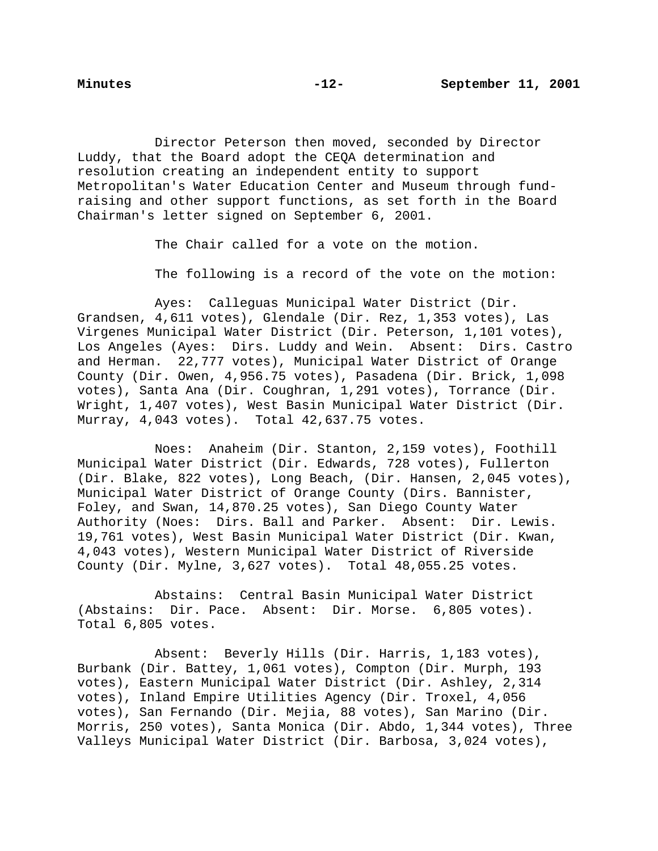Director Peterson then moved, seconded by Director Luddy, that the Board adopt the CEQA determination and resolution creating an independent entity to support Metropolitan's Water Education Center and Museum through fundraising and other support functions, as set forth in the Board Chairman's letter signed on September 6, 2001.

The Chair called for a vote on the motion.

The following is a record of the vote on the motion:

Ayes: Calleguas Municipal Water District (Dir. Grandsen, 4,611 votes), Glendale (Dir. Rez, 1,353 votes), Las Virgenes Municipal Water District (Dir. Peterson, 1,101 votes), Los Angeles (Ayes: Dirs. Luddy and Wein. Absent: Dirs. Castro and Herman. 22,777 votes), Municipal Water District of Orange County (Dir. Owen, 4,956.75 votes), Pasadena (Dir. Brick, 1,098 votes), Santa Ana (Dir. Coughran, 1,291 votes), Torrance (Dir. Wright, 1,407 votes), West Basin Municipal Water District (Dir. Murray, 4,043 votes). Total 42,637.75 votes.

Noes: Anaheim (Dir. Stanton, 2,159 votes), Foothill Municipal Water District (Dir. Edwards, 728 votes), Fullerton (Dir. Blake, 822 votes), Long Beach, (Dir. Hansen, 2,045 votes), Municipal Water District of Orange County (Dirs. Bannister, Foley, and Swan, 14,870.25 votes), San Diego County Water Authority (Noes: Dirs. Ball and Parker. Absent: Dir. Lewis. 19,761 votes), West Basin Municipal Water District (Dir. Kwan, 4,043 votes), Western Municipal Water District of Riverside County (Dir. Mylne, 3,627 votes). Total 48,055.25 votes.

Abstains: Central Basin Municipal Water District (Abstains: Dir. Pace. Absent: Dir. Morse. 6,805 votes). Total 6,805 votes.

Absent: Beverly Hills (Dir. Harris, 1,183 votes), Burbank (Dir. Battey, 1,061 votes), Compton (Dir. Murph, 193 votes), Eastern Municipal Water District (Dir. Ashley, 2,314 votes), Inland Empire Utilities Agency (Dir. Troxel, 4,056 votes), San Fernando (Dir. Mejia, 88 votes), San Marino (Dir. Morris, 250 votes), Santa Monica (Dir. Abdo, 1,344 votes), Three Valleys Municipal Water District (Dir. Barbosa, 3,024 votes),